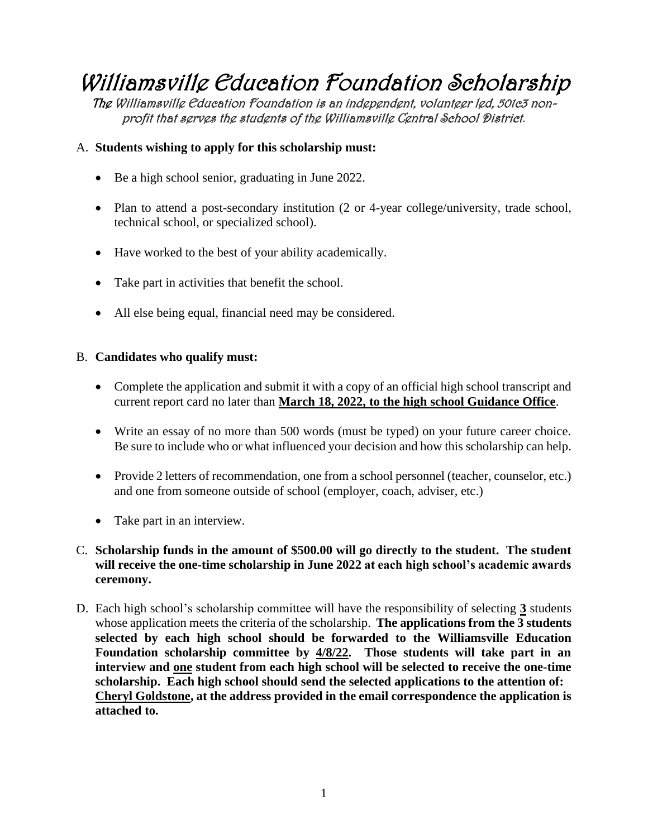# Williamsville Education Foundation Scholarship

The Williamsville Education Foundation is an independent, volunteer led, 501c3 nonprofit that serves the students of the Williamsville Central School District.

#### A. **Students wishing to apply for this scholarship must:**

- Be a high school senior, graduating in June 2022.
- Plan to attend a post-secondary institution (2 or 4-year college/university, trade school, technical school, or specialized school).
- Have worked to the best of your ability academically.
- Take part in activities that benefit the school.
- All else being equal, financial need may be considered.

#### B. **Candidates who qualify must:**

- Complete the application and submit it with a copy of an official high school transcript and current report card no later than **March 18, 2022, to the high school Guidance Office**.
- Write an essay of no more than 500 words (must be typed) on your future career choice. Be sure to include who or what influenced your decision and how this scholarship can help.
- Provide 2 letters of recommendation, one from a school personnel (teacher, counselor, etc.) and one from someone outside of school (employer, coach, adviser, etc.)
- Take part in an interview.

### C. **Scholarship funds in the amount of \$500.00 will go directly to the student. The student will receive the one-time scholarship in June 2022 at each high school's academic awards ceremony.**

D. Each high school's scholarship committee will have the responsibility of selecting **3** students whose application meets the criteria of the scholarship. **The applications from the 3 students selected by each high school should be forwarded to the Williamsville Education Foundation scholarship committee by 4/8/22. Those students will take part in an interview and one student from each high school will be selected to receive the one-time scholarship. Each high school should send the selected applications to the attention of: Cheryl Goldstone, at the address provided in the email correspondence the application is attached to.**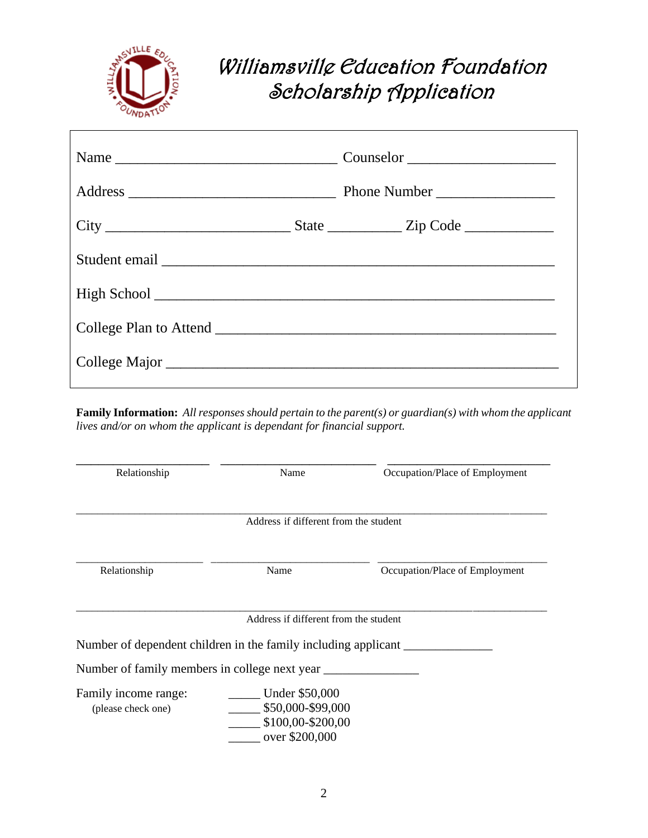

## Williamsville Education Foundation Scholarship Application

| College Plan to Attend |  |  |  |
|------------------------|--|--|--|
|                        |  |  |  |
|                        |  |  |  |

**Family Information:** *All responses should pertain to the parent(s) or guardian(s) with whom the applicant lives and/or on whom the applicant is dependant for financial support.*

| Relationship                                                   | Name                                                                       | Occupation/Place of Employment |
|----------------------------------------------------------------|----------------------------------------------------------------------------|--------------------------------|
|                                                                | Address if different from the student                                      |                                |
| Relationship                                                   | Name                                                                       | Occupation/Place of Employment |
| Number of dependent children in the family including applicant | Address if different from the student                                      |                                |
| Number of family members in college next year                  |                                                                            |                                |
| Family income range:<br>(please check one)                     | Under \$50,000<br>\$50,000-\$99,000<br>\$100,00-\$200,00<br>over \$200,000 |                                |